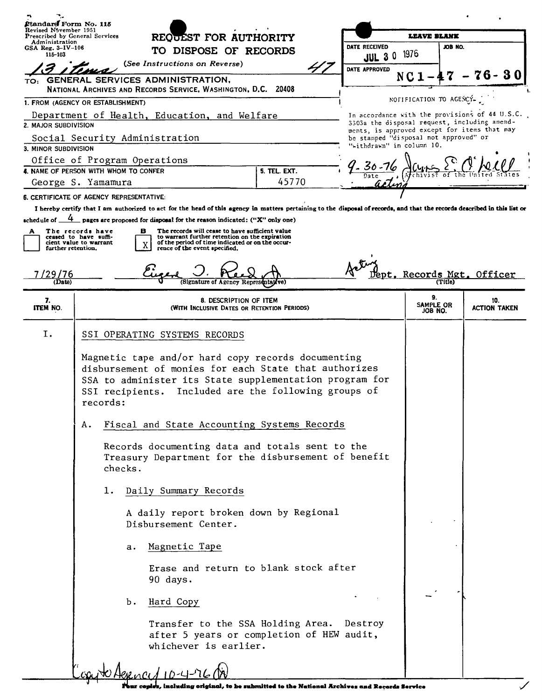| Ptandard Form No. 115<br>Revised N <sup>5</sup> yember 1951 |                                                                                                                                                                                                                                            |    |                                                                                                                                                                                             |                     |                                                                                              |                            |                                                |  |
|-------------------------------------------------------------|--------------------------------------------------------------------------------------------------------------------------------------------------------------------------------------------------------------------------------------------|----|---------------------------------------------------------------------------------------------------------------------------------------------------------------------------------------------|---------------------|----------------------------------------------------------------------------------------------|----------------------------|------------------------------------------------|--|
| Prescribed by General Services<br>Administration            |                                                                                                                                                                                                                                            |    | REQUEST FOR AUTHORITY                                                                                                                                                                       |                     |                                                                                              | <b>LEAVE BLANK</b>         |                                                |  |
| GSA Reg. $3 - IV - 106$<br>115-103                          |                                                                                                                                                                                                                                            |    | TO DISPOSE OF RECORDS                                                                                                                                                                       |                     | DATE RECEIVED<br><b>JUL 30</b>                                                               | JOB NO.<br>1976            |                                                |  |
|                                                             |                                                                                                                                                                                                                                            |    | (See Instructions on Reverse)                                                                                                                                                               |                     | DATE APPROVED                                                                                |                            |                                                |  |
|                                                             |                                                                                                                                                                                                                                            |    | TO: GENERAL SERVICES ADMINISTRATION,<br>NATIONAL ARCHIVES AND RECORDS SERVICE, WASHINGTON, D.C. 20408                                                                                       |                     |                                                                                              | NC <sub>1</sub>            | 30                                             |  |
| 1. FROM (AGENCY OR ESTABLISHMENT)                           |                                                                                                                                                                                                                                            |    |                                                                                                                                                                                             |                     |                                                                                              | NOFIFICATION TO AGENCY-    |                                                |  |
|                                                             |                                                                                                                                                                                                                                            |    | Department of Health, Education, and Welfare                                                                                                                                                |                     |                                                                                              |                            | In accordance with the provisions of 44 U.S.C. |  |
| 2. MAJOR SUBDIVISION                                        |                                                                                                                                                                                                                                            |    |                                                                                                                                                                                             |                     | 3303a the disposal request, including amend-<br>ments, is approved except for items that may |                            |                                                |  |
|                                                             |                                                                                                                                                                                                                                            |    | Social Security Administration                                                                                                                                                              |                     | be stamped "disposal not approved" or                                                        |                            |                                                |  |
| 3. MINOR SUBDIVISION                                        |                                                                                                                                                                                                                                            |    |                                                                                                                                                                                             |                     | "withdrawn" in column 10.                                                                    |                            |                                                |  |
|                                                             |                                                                                                                                                                                                                                            |    | Office of Program Operations                                                                                                                                                                |                     | '- 30 - 76                                                                                   |                            |                                                |  |
| 4. NAME OF PERSON WITH WHOM TO CONFER                       |                                                                                                                                                                                                                                            |    |                                                                                                                                                                                             | <b>5. TEL. EXT.</b> |                                                                                              |                            |                                                |  |
| George S. Yamamura                                          |                                                                                                                                                                                                                                            |    |                                                                                                                                                                                             | 45770               |                                                                                              |                            |                                                |  |
| 6. CERTIFICATE OF AGENCY REPRESENTATIVE:                    |                                                                                                                                                                                                                                            |    |                                                                                                                                                                                             |                     |                                                                                              |                            |                                                |  |
|                                                             |                                                                                                                                                                                                                                            |    | I hereby certify that I am authorized to act for the head of this agency in matters pertaining to the disposal of records, and that the records described in this list or                   |                     |                                                                                              |                            |                                                |  |
|                                                             |                                                                                                                                                                                                                                            |    | schedule of $\frac{4}{1}$ pages are proposed for disposal for the reason indicated: ("X" only one)                                                                                          |                     |                                                                                              |                            |                                                |  |
| further retention.                                          | The records have<br>ceased to have suffi-<br>cient value to warrant                                                                                                                                                                        |    | в<br>The records will cease to have sufficient value<br>to warrant further retention on the expiration<br>of the period of time indicated or on the occur-<br>rence of the event specified. |                     |                                                                                              |                            |                                                |  |
| '29/76<br>(Date)                                            |                                                                                                                                                                                                                                            |    |                                                                                                                                                                                             |                     |                                                                                              | Jept. Records Mgt.         | Officer                                        |  |
| 7.<br>ITEM NO.                                              |                                                                                                                                                                                                                                            |    | 8. DESCRIPTION OF ITEM<br>(WITH INCLUSIVE DATES OR RETENTION PERIODS)                                                                                                                       |                     |                                                                                              | 9.<br>SAMPLE OR<br>JOB NO. | 10.<br><b>ACTION TAKEN</b>                     |  |
| I.                                                          |                                                                                                                                                                                                                                            |    | SSI OPERATING SYSTEMS RECORDS                                                                                                                                                               |                     |                                                                                              |                            |                                                |  |
|                                                             | Magnetic tape and/or hard copy records documenting<br>disbursement of monies for each State that authorizes<br>SSA to administer its State supplementation program for<br>SSI recipients. Included are the following groups of<br>records: |    |                                                                                                                                                                                             |                     |                                                                                              |                            |                                                |  |
|                                                             | А.                                                                                                                                                                                                                                         |    | Fiscal and State Accounting Systems Records                                                                                                                                                 |                     |                                                                                              |                            |                                                |  |
|                                                             | Records documenting data and totals sent to the<br>Treasury Department for the disbursement of benefit<br>checks.                                                                                                                          |    |                                                                                                                                                                                             |                     |                                                                                              |                            |                                                |  |
|                                                             | ı.                                                                                                                                                                                                                                         |    | Daily Summary Records                                                                                                                                                                       |                     |                                                                                              |                            |                                                |  |
|                                                             |                                                                                                                                                                                                                                            |    | A daily report broken down by Regional<br>Disbursement Center.                                                                                                                              |                     |                                                                                              |                            |                                                |  |
|                                                             |                                                                                                                                                                                                                                            | а. | Magnetic Tape                                                                                                                                                                               |                     |                                                                                              |                            |                                                |  |
|                                                             |                                                                                                                                                                                                                                            |    | Erase and return to blank stock after<br>90 days.                                                                                                                                           |                     |                                                                                              |                            |                                                |  |
|                                                             |                                                                                                                                                                                                                                            | Ъ. | Hard Copy                                                                                                                                                                                   |                     |                                                                                              |                            |                                                |  |
|                                                             |                                                                                                                                                                                                                                            |    | Transfer to the SSA Holding Area. Destroy<br>after 5 years or completion of HEW audit,<br>whichever is earlier.                                                                             |                     |                                                                                              |                            |                                                |  |
|                                                             |                                                                                                                                                                                                                                            |    |                                                                                                                                                                                             |                     |                                                                                              |                            |                                                |  |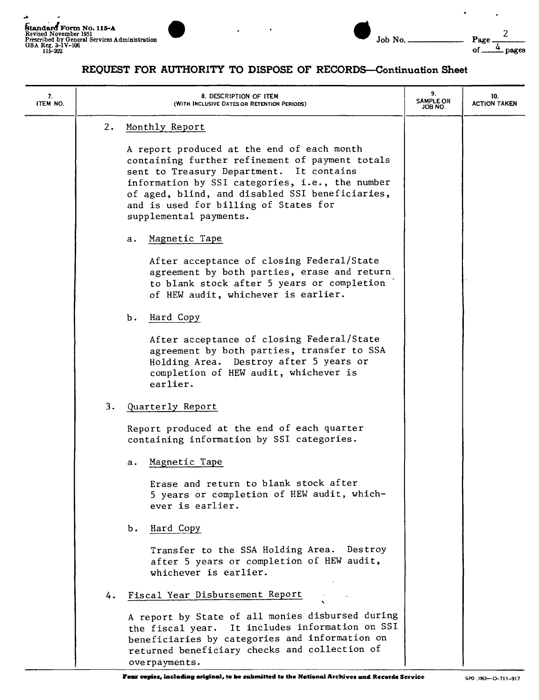~



 $\ddot{\phantom{a}}$ 

 $\epsilon$ 

## **REQUEST FOR AUTHORITY TO DISPOSE OF RECORD8-Continuation Sheet**

| 7.<br>ITEM NO. |    | 8. DESCRIPTION OF ITEM<br>(WITH INCLUSIVE DATES OR RETENTION PERIODS)                                                                                                                                                                                                                                              | 9.<br><b>SAMPLE OR</b><br>JOB NO. | 10.<br><b>ACTION TAKEN</b> |
|----------------|----|--------------------------------------------------------------------------------------------------------------------------------------------------------------------------------------------------------------------------------------------------------------------------------------------------------------------|-----------------------------------|----------------------------|
|                | 2. | Monthly Report                                                                                                                                                                                                                                                                                                     |                                   |                            |
|                |    | A report produced at the end of each month<br>containing further refinement of payment totals<br>sent to Treasury Department. It contains<br>information by SSI categories, i.e., the number<br>of aged, blind, and disabled SSI beneficiaries,<br>and is used for billing of States for<br>supplemental payments. |                                   |                            |
|                |    | Magnetic Tape<br>а.                                                                                                                                                                                                                                                                                                |                                   |                            |
|                |    | After acceptance of closing Federal/State<br>agreement by both parties, erase and return<br>to blank stock after 5 years or completion<br>of HEW audit, whichever is earlier.                                                                                                                                      |                                   |                            |
|                |    | Hard Copy<br>Ъ.                                                                                                                                                                                                                                                                                                    |                                   |                            |
|                |    | After acceptance of closing Federal/State<br>agreement by both parties, transfer to SSA<br>Holding Area. Destroy after 5 years or<br>completion of HEW audit, whichever is<br>earlier.                                                                                                                             |                                   |                            |
|                | 3. | Quarterly Report                                                                                                                                                                                                                                                                                                   |                                   |                            |
|                |    | Report produced at the end of each quarter<br>containing information by SSI categories.                                                                                                                                                                                                                            |                                   |                            |
|                |    | Magnetic Tape<br>а.                                                                                                                                                                                                                                                                                                |                                   |                            |
|                |    | Erase and return to blank stock after<br>5 years or completion of HEW audit, which-<br>ever is earlier.                                                                                                                                                                                                            |                                   |                            |
|                |    | Hard Copy<br>Ъ.                                                                                                                                                                                                                                                                                                    |                                   |                            |
|                |    | Transfer to the SSA Holding Area. Destroy<br>after 5 years or completion of HEW audit,<br>whichever is earlier.                                                                                                                                                                                                    |                                   |                            |
|                | 4. | Fiscal Year Disbursement Report                                                                                                                                                                                                                                                                                    |                                   |                            |
|                |    | A report by State of all monies disbursed during<br>It includes information on SSI<br>the fiscal year.<br>beneficiaries by categories and information on<br>returned beneficiary checks and collection of<br>overpayments.                                                                                         |                                   |                            |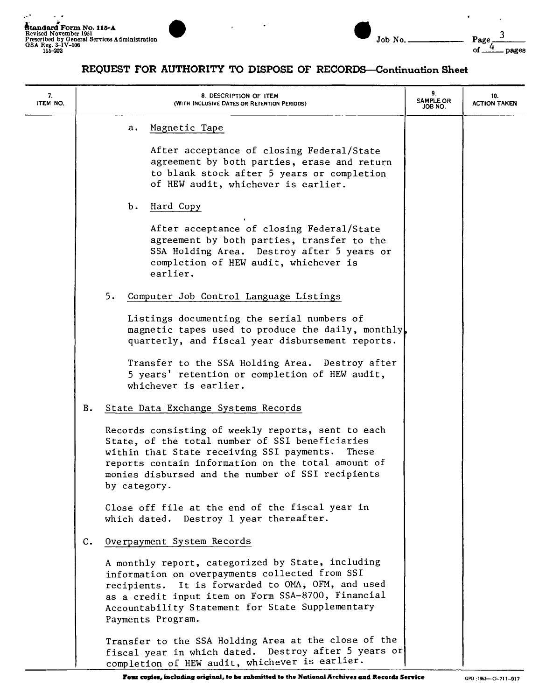$\mathcal{L}^{\mathcal{A}}$ 

÷.



| Job N |  |
|-------|--|

## **REQUEST FOR AUTHORITY TO DISPOSE OF RECORDS-Continuation Sheet**

| 7.<br>ITEM NO. |                |    | 8. DESCRIPTION OF ITEM<br>(WITH INCLUSIVE DATES OR RETENTION PERIODS)                                                                                                                                                                                                                   | 9.<br>SAMPLE OR<br>ON 8OL | 10.<br><b>ACTION TAKEN</b> |
|----------------|----------------|----|-----------------------------------------------------------------------------------------------------------------------------------------------------------------------------------------------------------------------------------------------------------------------------------------|---------------------------|----------------------------|
|                |                |    | Magnetic Tape<br>а.                                                                                                                                                                                                                                                                     |                           |                            |
|                |                |    | After acceptance of closing Federal/State<br>agreement by both parties, erase and return<br>to blank stock after 5 years or completion<br>of HEW audit, whichever is earlier.                                                                                                           |                           |                            |
|                |                |    | Ъ.<br>Hard Copy                                                                                                                                                                                                                                                                         |                           |                            |
|                |                |    | After acceptance of closing Federal/State<br>agreement by both parties, transfer to the<br>SSA Holding Area. Destroy after 5 years or<br>completion of HEW audit, whichever is<br>earlier.                                                                                              |                           |                            |
|                |                | 5. | Computer Job Control Language Listings                                                                                                                                                                                                                                                  |                           |                            |
|                |                |    | Listings documenting the serial numbers of<br>magnetic tapes used to produce the daily, monthly<br>quarterly, and fiscal year disbursement reports.                                                                                                                                     |                           |                            |
|                |                |    | Transfer to the SSA Holding Area. Destroy after<br>5 years' retention or completion of HEW audit,<br>whichever is earlier.                                                                                                                                                              |                           |                            |
|                | в.             |    | State Data Exchange Systems Records                                                                                                                                                                                                                                                     |                           |                            |
|                |                |    | Records consisting of weekly reports, sent to each<br>State, of the total number of SSI beneficiaries<br>within that State receiving SSI payments. These<br>reports contain information on the total amount of<br>monies disbursed and the number of SSI recipients<br>by category.     |                           |                            |
|                |                |    | Close off file at the end of the fiscal year in<br>which dated. Destroy 1 year thereafter.                                                                                                                                                                                              |                           |                            |
|                | $\mathsf{C}$ . |    | Overpayment System Records                                                                                                                                                                                                                                                              |                           |                            |
|                |                |    | A monthly report, categorized by State, including<br>information on overpayments collected from SSI<br>recipients. It is forwarded to OMA, OFM, and used<br>as a credit input item on Form SSA-8700, Financial<br>Accountability Statement for State Supplementary<br>Payments Program. |                           |                            |
|                |                |    | Transfer to the SSA Holding Area at the close of the<br>fiscal year in which dated. Destroy after 5 years or<br>completion of HEW audit, whichever is earlier.                                                                                                                          |                           |                            |